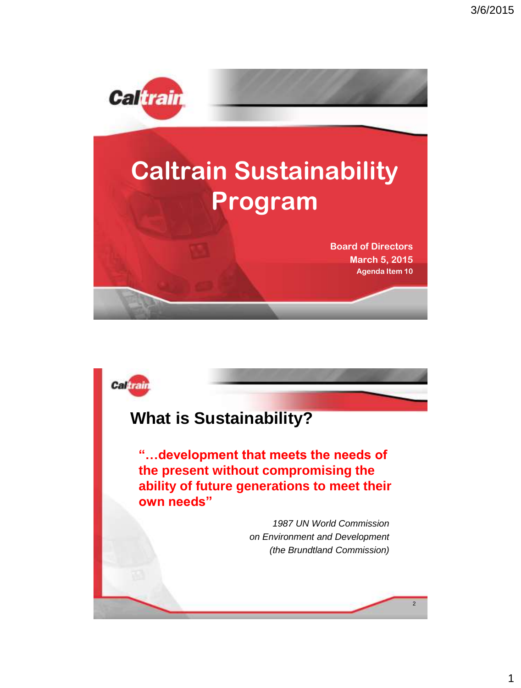

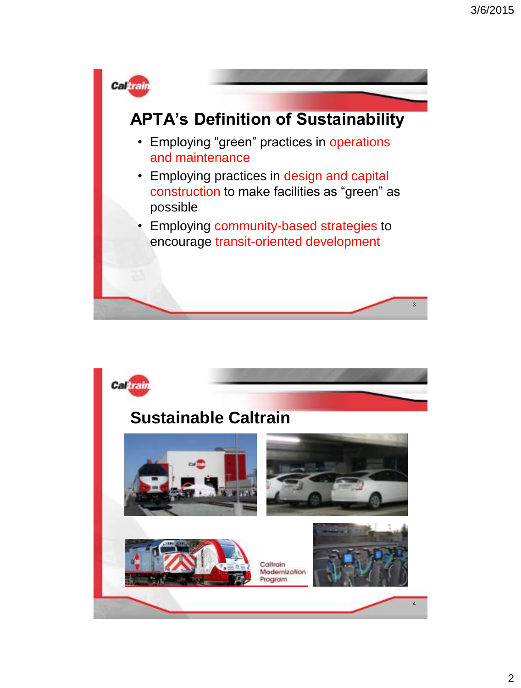

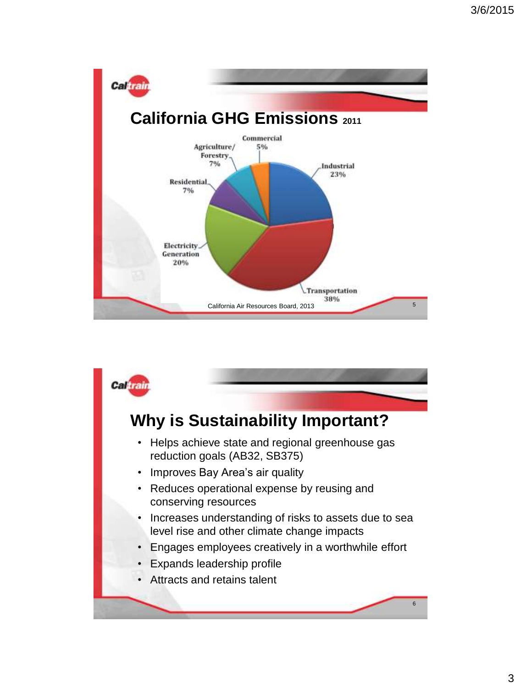

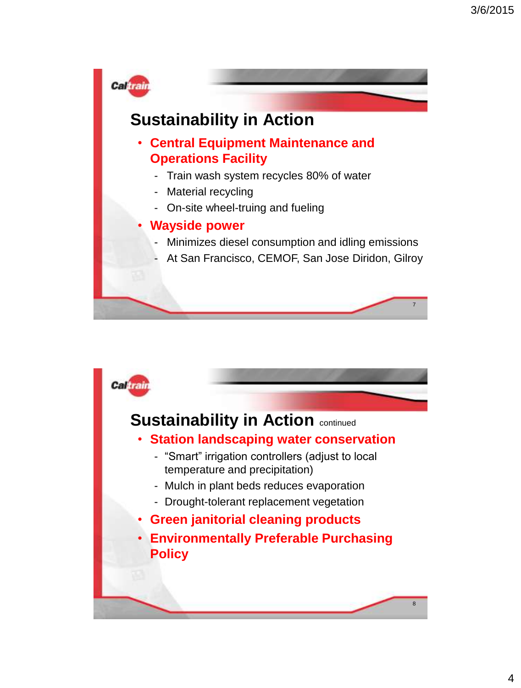

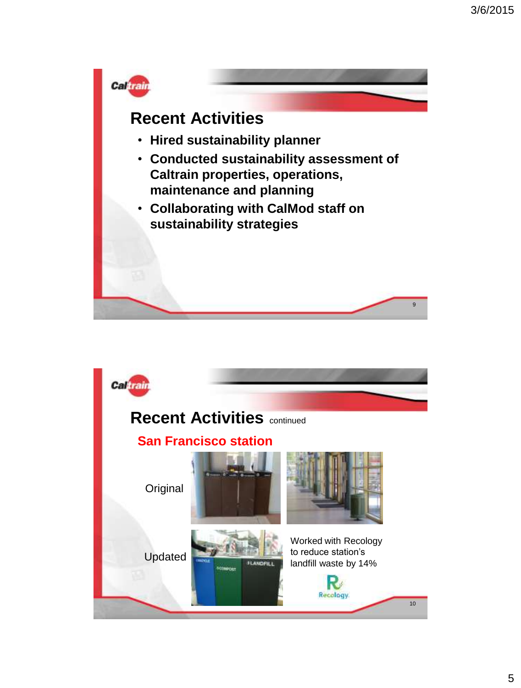

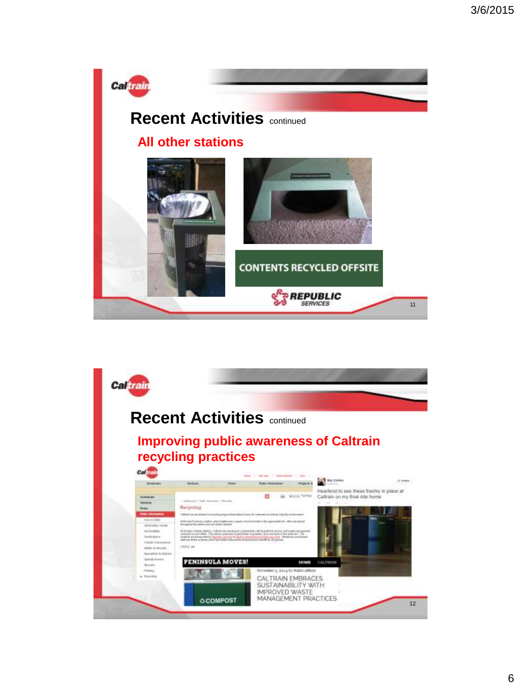

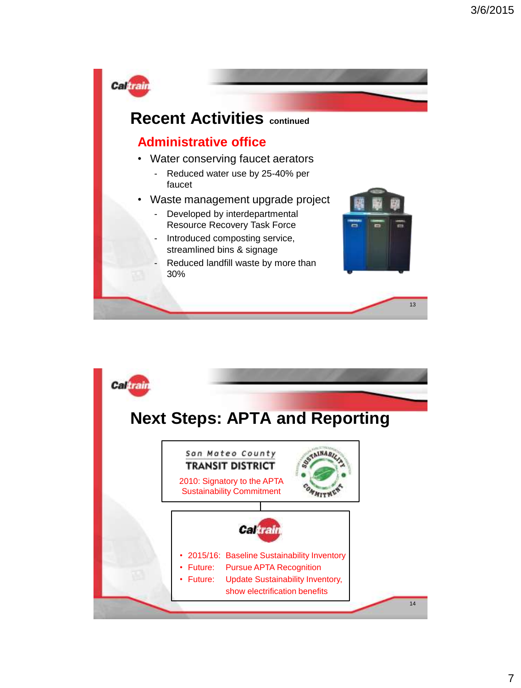